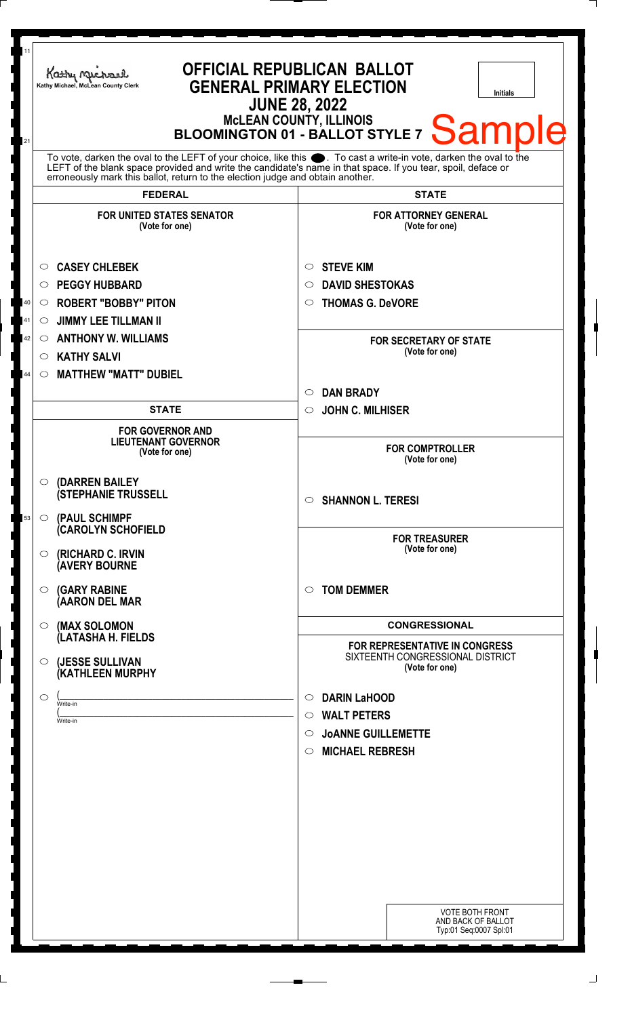| 11<br>21 | Kathy Machael<br>Kathy Michael, McLean County Clerk                                                                                                                                                                                                                                                                                      | <b>OFFICIAL REPUBLICAN BALLOT</b><br><b>GENERAL PRIMARY ELECTION</b><br><b>Initials</b><br><b>JUNE 28, 2022</b><br>MCLEAN COUNTY, ILLINOIS<br>BLOOMINGTON 01 - BALLOT STYLE 7 Sample |  |
|----------|------------------------------------------------------------------------------------------------------------------------------------------------------------------------------------------------------------------------------------------------------------------------------------------------------------------------------------------|--------------------------------------------------------------------------------------------------------------------------------------------------------------------------------------|--|
|          | To vote, darken the oval to the LEFT of your choice, like this $\bullet$ . To cast a write-in vote, darken the oval to the LEFT of the blank space provided and write the candidate's name in that space. If you tear, spoil, deface<br>erroneously mark this ballot, return to the election judge and obtain another.<br><b>FEDERAL</b> | <b>STATE</b>                                                                                                                                                                         |  |
|          | <b>FOR UNITED STATES SENATOR</b><br>(Vote for one)                                                                                                                                                                                                                                                                                       | <b>FOR ATTORNEY GENERAL</b><br>(Vote for one)                                                                                                                                        |  |
| 40<br>41 | <b>CASEY CHLEBEK</b><br>$\circ$<br><b>PEGGY HUBBARD</b><br>$\bigcirc$<br><b>ROBERT "BOBBY" PITON</b><br>O<br><b>JIMMY LEE TILLMAN II</b><br>$\circ$                                                                                                                                                                                      | <b>STEVE KIM</b><br>$\circ$<br><b>DAVID SHESTOKAS</b><br>$\circ$<br><b>THOMAS G. DeVORE</b><br>$\circ$                                                                               |  |
| 42<br>44 | <b>ANTHONY W. WILLIAMS</b><br>$\circ$<br><b>KATHY SALVI</b><br>$\circ$<br><b>MATTHEW "MATT" DUBIEL</b><br>$\circ$                                                                                                                                                                                                                        | <b>FOR SECRETARY OF STATE</b><br>(Vote for one)                                                                                                                                      |  |
|          | <b>STATE</b>                                                                                                                                                                                                                                                                                                                             | <b>DAN BRADY</b><br>$\circ$<br><b>JOHN C. MILHISER</b><br>$\circ$                                                                                                                    |  |
|          | <b>FOR GOVERNOR AND</b><br><b>LIEUTENANT GOVERNOR</b><br>(Vote for one)                                                                                                                                                                                                                                                                  | <b>FOR COMPTROLLER</b><br>(Vote for one)                                                                                                                                             |  |
| 53       | (DARREN BAILEY<br>$\circ$<br><b>(STEPHANIE TRUSSELL</b><br>(PAUL SCHIMPF<br>$\circ$                                                                                                                                                                                                                                                      | $\circ$ SHANNON L. TERESI                                                                                                                                                            |  |
|          | <b>CAROLYN SCHOFIELD</b><br>(RICHARD C. IRVIN<br>$\circ$<br><b>(AVERY BOURNE</b>                                                                                                                                                                                                                                                         | <b>FOR TREASURER</b><br>(Vote for one)                                                                                                                                               |  |
|          | <b>(GARY RABINE</b><br>$\circ$<br>(AARON DEL MAR                                                                                                                                                                                                                                                                                         | <b>TOM DEMMER</b><br>$\bigcirc$                                                                                                                                                      |  |
|          | (MAX SOLOMON<br>$\circ$<br>(LATASHA H. FIELDS                                                                                                                                                                                                                                                                                            | <b>CONGRESSIONAL</b><br>FOR REPRESENTATIVE IN CONGRESS                                                                                                                               |  |
|          | (JESSE SULLIVAN<br>$\circ$<br>(KATHLEEN MURPHY                                                                                                                                                                                                                                                                                           | SIXTEENTH CONGRESSIONAL DISTRICT<br>(Vote for one)                                                                                                                                   |  |
|          | $\circ$<br>Write-in<br>Write-in                                                                                                                                                                                                                                                                                                          | <b>DARIN LaHOOD</b><br>$\circ$<br><b>WALT PETERS</b><br>$\circ$<br><b>JOANNE GUILLEMETTE</b><br>$\circ$<br><b>MICHAEL REBRESH</b><br>$\circ$                                         |  |
|          |                                                                                                                                                                                                                                                                                                                                          | <b>VOTE BOTH FRONT</b><br>AND BACK OF BALLOT<br>Typ:01 Seq:0007 Spl:01                                                                                                               |  |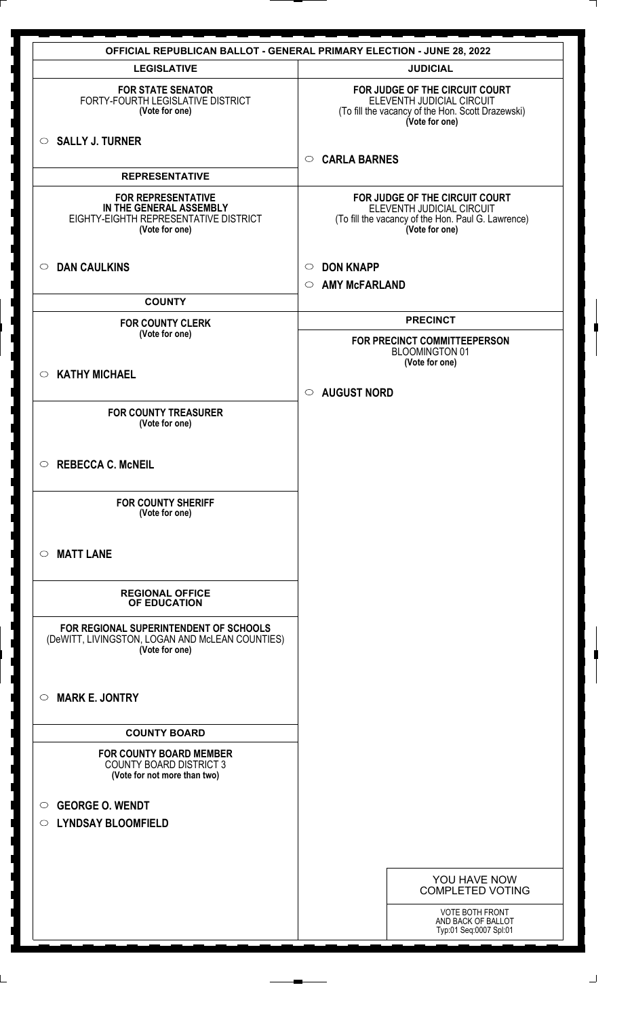| <b>LEGISLATIVE</b>                                                                                              | <b>JUDICIAL</b>                                                                                                                     |
|-----------------------------------------------------------------------------------------------------------------|-------------------------------------------------------------------------------------------------------------------------------------|
| <b>FOR STATE SENATOR</b><br>FORTY-FOURTH LEGISLATIVE DISTRICT<br>(Vote for one)                                 | FOR JUDGE OF THE CIRCUIT COURT<br>ELEVENTH JUDICIAL CIRCUIT<br>(To fill the vacancy of the Hon. Scott Drazewski)<br>(Vote for one)  |
| $\circ$ SALLY J. TURNER                                                                                         | <b>CARLA BARNES</b><br>$\circ$                                                                                                      |
| <b>REPRESENTATIVE</b>                                                                                           |                                                                                                                                     |
| <b>FOR REPRESENTATIVE</b><br>IN THE GENERAL ASSEMBLY<br>EIGHTY-EIGHTH REPRESENTATIVE DISTRICT<br>(Vote for one) | FOR JUDGE OF THE CIRCUIT COURT<br>ELEVENTH JUDICIAL CIRCUIT<br>(To fill the vacancy of the Hon. Paul G. Lawrence)<br>(Vote for one) |
| <b>DAN CAULKINS</b><br>$\circ$                                                                                  | <b>DON KNAPP</b><br>$\circ$<br><b>AMY McFARLAND</b><br>$\circ$                                                                      |
| <b>COUNTY</b>                                                                                                   |                                                                                                                                     |
| <b>FOR COUNTY CLERK</b>                                                                                         | <b>PRECINCT</b>                                                                                                                     |
| (Vote for one)                                                                                                  | FOR PRECINCT COMMITTEEPERSON<br><b>BLOOMINGTON 01</b><br>(Vote for one)                                                             |
| <b>KATHY MICHAEL</b><br>$\circ$                                                                                 |                                                                                                                                     |
|                                                                                                                 | $\circ$ AUGUST NORD                                                                                                                 |
| <b>FOR COUNTY TREASURER</b><br>(Vote for one)                                                                   |                                                                                                                                     |
| <b>REBECCA C. McNEIL</b><br>$\circ$                                                                             |                                                                                                                                     |
| <b>FOR COUNTY SHERIFF</b><br>(Vote for one)                                                                     |                                                                                                                                     |
| <b>MATT LANE</b><br>$\circ$                                                                                     |                                                                                                                                     |
| <b>REGIONAL OFFICE</b><br>OF EDUCATION                                                                          |                                                                                                                                     |
| FOR REGIONAL SUPERINTENDENT OF SCHOOLS<br>(DeWITT, LIVINGSTON, LOGAN AND McLEAN COUNTIES)<br>(Vote for one)     |                                                                                                                                     |
| <b>MARK E. JONTRY</b><br>$\circ$                                                                                |                                                                                                                                     |
| <b>COUNTY BOARD</b>                                                                                             |                                                                                                                                     |
| <b>FOR COUNTY BOARD MEMBER</b><br><b>COUNTY BOARD DISTRICT 3</b><br>(Vote for not more than two)                |                                                                                                                                     |
| <b>GEORGE O. WENDT</b><br>$\circ$                                                                               |                                                                                                                                     |
| <b>LYNDSAY BLOOMFIELD</b><br>$\circ$                                                                            |                                                                                                                                     |
|                                                                                                                 |                                                                                                                                     |
|                                                                                                                 |                                                                                                                                     |
|                                                                                                                 | YOU HAVE NOW<br><b>COMPLETED VOTING</b>                                                                                             |
|                                                                                                                 | VOTE BOTH FRONT<br>AND BACK OF BALLOT<br>Typ:01 Seq:0007 Spl:01                                                                     |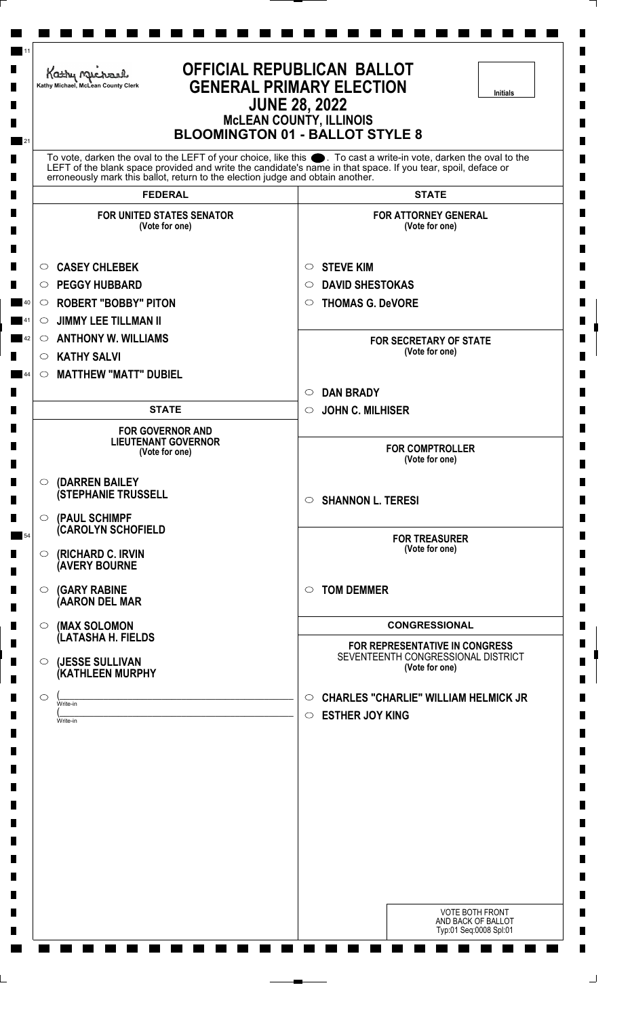|         | Kathy Michael<br>Kathy Michael, McLean County Clerk                            | <b>OFFICIAL REPUBLICAN BALLOT</b><br><b>GENERAL PRIMARY ELECTION</b><br><b>Initials</b><br><b>JUNE 28, 2022</b><br><b>McLEAN COUNTY, ILLINOIS</b><br><b>BLOOMINGTON 01 - BALLOT STYLE 8</b>                                      |
|---------|--------------------------------------------------------------------------------|----------------------------------------------------------------------------------------------------------------------------------------------------------------------------------------------------------------------------------|
|         | erroneously mark this ballot, return to the election judge and obtain another. | To vote, darken the oval to the LEFT of your choice, like this . To cast a write-in vote, darken the oval to the<br>LEFT of the blank space provided and write the candidate's name in that space. If you tear, spoil, deface or |
|         | <b>FEDERAL</b>                                                                 | <b>STATE</b>                                                                                                                                                                                                                     |
|         | <b>FOR UNITED STATES SENATOR</b><br>(Vote for one)                             | <b>FOR ATTORNEY GENERAL</b><br>(Vote for one)                                                                                                                                                                                    |
| $\circ$ | <b>CASEY CHLEBEK</b>                                                           | <b>STEVE KIM</b><br>$\circ$                                                                                                                                                                                                      |
| O       | <b>PEGGY HUBBARD</b>                                                           | <b>DAVID SHESTOKAS</b><br>O                                                                                                                                                                                                      |
| O       | <b>ROBERT "BOBBY" PITON</b>                                                    | <b>THOMAS G. DeVORE</b><br>$\circ$                                                                                                                                                                                               |
| $\circ$ | <b>JIMMY LEE TILLMAN II</b>                                                    |                                                                                                                                                                                                                                  |
| $\circ$ | <b>ANTHONY W. WILLIAMS</b>                                                     | <b>FOR SECRETARY OF STATE</b>                                                                                                                                                                                                    |
| $\circ$ | <b>KATHY SALVI</b>                                                             | (Vote for one)                                                                                                                                                                                                                   |
| $\circ$ | <b>MATTHEW "MATT" DUBIEL</b>                                                   |                                                                                                                                                                                                                                  |
|         |                                                                                | <b>DAN BRADY</b><br>$\circ$                                                                                                                                                                                                      |
|         | <b>STATE</b>                                                                   | <b>JOHN C. MILHISER</b><br>$\circ$                                                                                                                                                                                               |
|         | <b>FOR GOVERNOR AND</b><br><b>LIEUTENANT GOVERNOR</b><br>(Vote for one)        | <b>FOR COMPTROLLER</b><br>(Vote for one)                                                                                                                                                                                         |
|         |                                                                                |                                                                                                                                                                                                                                  |
| O       | (DARREN BAILEY<br><b>(STEPHANIE TRUSSELL</b>                                   | <b>SHANNON L. TERESI</b><br>$\circ$                                                                                                                                                                                              |
| $\circ$ | (PAUL SCHIMPF<br><b>CAROLYN SCHOFIELD</b>                                      |                                                                                                                                                                                                                                  |
| $\circ$ | (RICHARD C. IRVIN<br><b>(AVERY BOURNE</b>                                      | <b>FOR TREASURER</b><br>(Vote for one)                                                                                                                                                                                           |
| $\circ$ | <b>(GARY RABINE</b><br>(AARON DEL MAR                                          | <b>TOM DEMMER</b><br>$\circ$                                                                                                                                                                                                     |
|         |                                                                                | <b>CONGRESSIONAL</b>                                                                                                                                                                                                             |
| $\circ$ | (MAX SOLOMON<br>(LATASHA H. FIELDS                                             |                                                                                                                                                                                                                                  |
| $\circ$ | (JESSE SULLIVAN<br>(KATHLEEN MURPHY                                            | FOR REPRESENTATIVE IN CONGRESS<br>SEVENTEENTH CONGRESSIONAL DISTRICT<br>(Vote for one)                                                                                                                                           |
| $\circ$ |                                                                                | <b>CHARLES "CHARLIE" WILLIAM HELMICK JR</b><br>$\circ$                                                                                                                                                                           |
|         | Write-in<br>Write-in                                                           | <b>ESTHER JOY KING</b><br>$\circ$                                                                                                                                                                                                |
|         |                                                                                |                                                                                                                                                                                                                                  |
|         |                                                                                | <b>VOTE BOTH FRONT</b><br>AND BACK OF BALLOT<br>Typ:01 Seq:0008 Spl:01                                                                                                                                                           |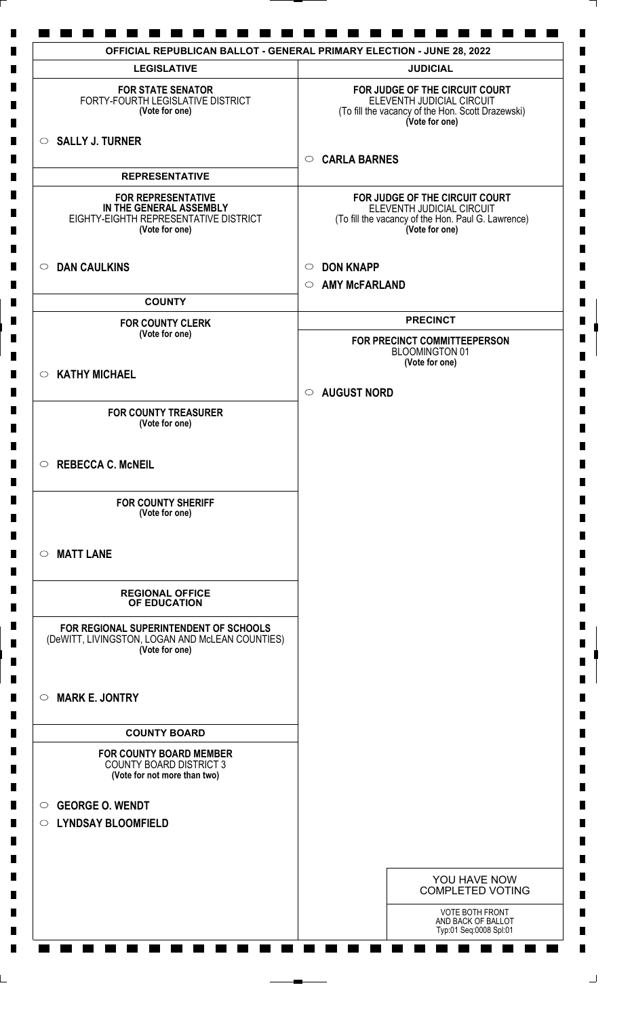| <b>LEGISLATIVE</b>                                                                                              | <b>JUDICIAL</b>                                                                                                                     |
|-----------------------------------------------------------------------------------------------------------------|-------------------------------------------------------------------------------------------------------------------------------------|
| <b>FOR STATE SENATOR</b><br>FORTY-FOURTH LEGISLATIVE DISTRICT<br>(Vote for one)                                 | FOR JUDGE OF THE CIRCUIT COURT<br>ELEVENTH JUDICIAL CIRCUIT<br>(To fill the vacancy of the Hon. Scott Drazewski)<br>(Vote for one)  |
| $\circ$ SALLY J. TURNER                                                                                         | <b>CARLA BARNES</b><br>$\circ$                                                                                                      |
| <b>REPRESENTATIVE</b>                                                                                           |                                                                                                                                     |
| <b>FOR REPRESENTATIVE</b><br>IN THE GENERAL ASSEMBLY<br>EIGHTY-EIGHTH REPRESENTATIVE DISTRICT<br>(Vote for one) | FOR JUDGE OF THE CIRCUIT COURT<br>ELEVENTH JUDICIAL CIRCUIT<br>(To fill the vacancy of the Hon. Paul G. Lawrence)<br>(Vote for one) |
| <b>DAN CAULKINS</b><br>$\circ$                                                                                  | <b>DON KNAPP</b><br>$\circ$                                                                                                         |
| <b>COUNTY</b>                                                                                                   | <b>AMY McFARLAND</b><br>$\circ$                                                                                                     |
| <b>FOR COUNTY CLERK</b>                                                                                         | <b>PRECINCT</b>                                                                                                                     |
| (Vote for one)                                                                                                  | FOR PRECINCT COMMITTEEPERSON<br><b>BLOOMINGTON 01</b>                                                                               |
| <b>KATHY MICHAEL</b><br>$\circ$                                                                                 | (Vote for one)                                                                                                                      |
|                                                                                                                 | <b>AUGUST NORD</b><br>$\circ$                                                                                                       |
| <b>FOR COUNTY TREASURER</b><br>(Vote for one)                                                                   |                                                                                                                                     |
| <b>REBECCA C. McNEIL</b><br>$\circ$                                                                             |                                                                                                                                     |
| <b>FOR COUNTY SHERIFF</b><br>(Vote for one)                                                                     |                                                                                                                                     |
| <b>MATT LANE</b><br>$\circ$                                                                                     |                                                                                                                                     |
| <b>REGIONAL OFFICE</b><br>OF EDUCATION                                                                          |                                                                                                                                     |
| FOR REGIONAL SUPERINTENDENT OF SCHOOLS<br>(DeWITT, LIVINGSTON, LOGAN AND McLEAN COUNTIES)<br>(Vote for one)     |                                                                                                                                     |
| <b>MARK E. JONTRY</b><br>$\circ$                                                                                |                                                                                                                                     |
| <b>COUNTY BOARD</b>                                                                                             |                                                                                                                                     |
| <b>FOR COUNTY BOARD MEMBER</b><br><b>COUNTY BOARD DISTRICT 3</b><br>(Vote for not more than two)                |                                                                                                                                     |
| <b>GEORGE O. WENDT</b><br>$\circ$                                                                               |                                                                                                                                     |
| O LYNDSAY BLOOMFIELD                                                                                            |                                                                                                                                     |
|                                                                                                                 |                                                                                                                                     |
|                                                                                                                 | YOU HAVE NOW<br><b>COMPLETED VOTING</b>                                                                                             |
|                                                                                                                 | <b>VOTE BOTH FRONT</b><br>AND BACK OF BALLOT<br>Typ:01 Seq:0008 Spl:01                                                              |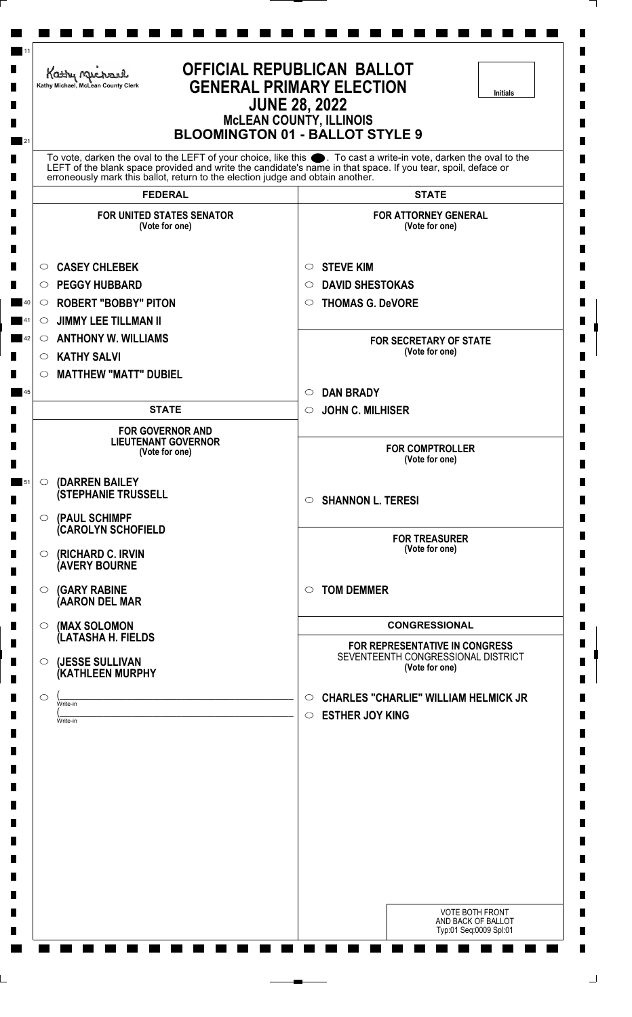|                    | Kathy Michael<br>Kathy Michael, McLean County Clerk                            | <b>OFFICIAL REPUBLICAN BALLOT</b><br><b>GENERAL PRIMARY ELECTION</b><br>Initials<br><b>JUNE 28, 2022</b><br><b>MCLEAN COUNTY, ILLINOIS</b><br><b>BLOOMINGTON 01 - BALLOT STYLE 9</b>                                              |
|--------------------|--------------------------------------------------------------------------------|-----------------------------------------------------------------------------------------------------------------------------------------------------------------------------------------------------------------------------------|
|                    | erroneously mark this ballot, return to the election judge and obtain another. | To vote, darken the oval to the LEFT of your choice, like this ●. To cast a write-in vote, darken the oval to the<br>LEFT of the blank space provided and write the candidate's name in that space. If you tear, spoil, deface or |
|                    | <b>FEDERAL</b>                                                                 | <b>STATE</b>                                                                                                                                                                                                                      |
|                    | <b>FOR UNITED STATES SENATOR</b><br>(Vote for one)                             | <b>FOR ATTORNEY GENERAL</b><br>(Vote for one)                                                                                                                                                                                     |
| $\circ$            | <b>CASEY CHLEBEK</b>                                                           | <b>STEVE KIM</b><br>$\circ$                                                                                                                                                                                                       |
| $\circ$            | <b>PEGGY HUBBARD</b>                                                           | <b>DAVID SHESTOKAS</b><br>$\circ$                                                                                                                                                                                                 |
| $\circ$            | <b>ROBERT "BOBBY" PITON</b>                                                    | <b>THOMAS G. DeVORE</b><br>$\circ$                                                                                                                                                                                                |
| $\circ$            | <b>JIMMY LEE TILLMAN II</b>                                                    |                                                                                                                                                                                                                                   |
| $\circ$            | <b>ANTHONY W. WILLIAMS</b>                                                     | <b>FOR SECRETARY OF STATE</b><br>(Vote for one)                                                                                                                                                                                   |
| $\circ$<br>$\circ$ | <b>KATHY SALVI</b><br><b>MATTHEW "MATT" DUBIEL</b>                             |                                                                                                                                                                                                                                   |
|                    |                                                                                | <b>DAN BRADY</b><br>$\circ$                                                                                                                                                                                                       |
|                    | <b>STATE</b>                                                                   | <b>JOHN C. MILHISER</b><br>$\circ$                                                                                                                                                                                                |
|                    | <b>FOR GOVERNOR AND</b>                                                        |                                                                                                                                                                                                                                   |
|                    | <b>LIEUTENANT GOVERNOR</b><br>(Vote for one)                                   | <b>FOR COMPTROLLER</b><br>(Vote for one)                                                                                                                                                                                          |
| $\circ$            | (DARREN BAILEY                                                                 |                                                                                                                                                                                                                                   |
|                    | <b>(STEPHANIE TRUSSELL</b>                                                     | <b>SHANNON L. TERESI</b><br>$\circ$                                                                                                                                                                                               |
| $\circ$            | (PAUL SCHIMPF<br>(CAROLYN SCHOFIELD                                            |                                                                                                                                                                                                                                   |
| $\circ$            | (RICHARD C. IRVIN<br><b>(AVERY BOURNE</b>                                      | <b>FOR TREASURER</b><br>(Vote for one)                                                                                                                                                                                            |
| $\circ$            | <b>(GARY RABINE</b><br>(AARON DEL MAR                                          | <b>TOM DEMMER</b><br>$\circ$                                                                                                                                                                                                      |
|                    |                                                                                |                                                                                                                                                                                                                                   |
| $\circ$            | (MAX SOLOMON<br>(LATASHA H. FIELDS                                             | <b>CONGRESSIONAL</b>                                                                                                                                                                                                              |
| $\circ$            | (JESSE SULLIVAN<br>(KATHLEEN MURPHY                                            | FOR REPRESENTATIVE IN CONGRESS<br>SEVENTEENTH CONGRESSIONAL DISTRICT<br>(Vote for one)                                                                                                                                            |
| $\circ$            |                                                                                | <b>CHARLES "CHARLIE" WILLIAM HELMICK JR</b><br>$\circ$                                                                                                                                                                            |
|                    | Write-in<br>Write-in                                                           | <b>ESTHER JOY KING</b><br>$\circ$                                                                                                                                                                                                 |
|                    |                                                                                |                                                                                                                                                                                                                                   |
|                    |                                                                                |                                                                                                                                                                                                                                   |
|                    |                                                                                |                                                                                                                                                                                                                                   |
|                    |                                                                                | <b>VOTE BOTH FRONT</b><br>AND BACK OF BALLOT<br>Typ:01 Seq:0009 Spl:01                                                                                                                                                            |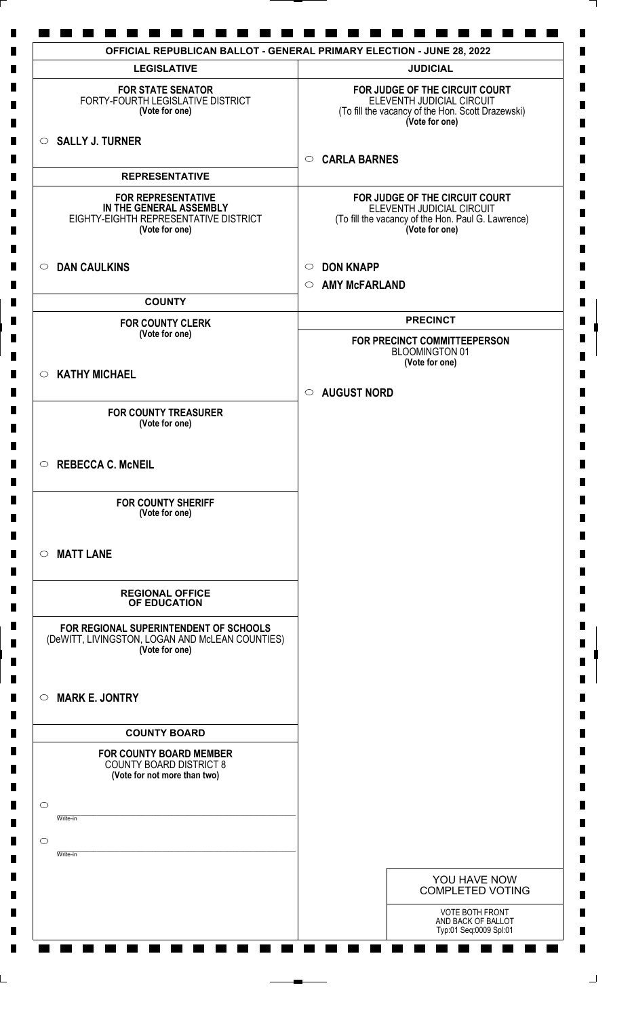| <b>LEGISLATIVE</b>                                                                                              | <b>JUDICIAL</b>                                                                                                                     |
|-----------------------------------------------------------------------------------------------------------------|-------------------------------------------------------------------------------------------------------------------------------------|
| <b>FOR STATE SENATOR</b><br>FORTY-FOURTH LEGISLATIVE DISTRICT<br>(Vote for one)                                 | FOR JUDGE OF THE CIRCUIT COURT<br>ELEVENTH JUDICIAL CIRCUIT<br>(To fill the vacancy of the Hon. Scott Drazewski)<br>(Vote for one)  |
| $\circ$ SALLY J. TURNER                                                                                         | <b>CARLA BARNES</b><br>$\circ$                                                                                                      |
| <b>REPRESENTATIVE</b>                                                                                           |                                                                                                                                     |
| <b>FOR REPRESENTATIVE</b><br>IN THE GENERAL ASSEMBLY<br>EIGHTY-EIGHTH REPRESENTATIVE DISTRICT<br>(Vote for one) | FOR JUDGE OF THE CIRCUIT COURT<br>ELEVENTH JUDICIAL CIRCUIT<br>(To fill the vacancy of the Hon. Paul G. Lawrence)<br>(Vote for one) |
| <b>DAN CAULKINS</b><br>$\circ$                                                                                  | <b>DON KNAPP</b><br>$\circ$<br><b>AMY McFARLAND</b><br>$\circ$                                                                      |
| <b>COUNTY</b>                                                                                                   |                                                                                                                                     |
| <b>FOR COUNTY CLERK</b>                                                                                         | <b>PRECINCT</b>                                                                                                                     |
| (Vote for one)                                                                                                  | FOR PRECINCT COMMITTEEPERSON<br><b>BLOOMINGTON 01</b>                                                                               |
| <b>KATHY MICHAEL</b><br>$\circ$                                                                                 | (Vote for one)                                                                                                                      |
|                                                                                                                 | <b>AUGUST NORD</b><br>$\circ$                                                                                                       |
| <b>FOR COUNTY TREASURER</b><br>(Vote for one)                                                                   |                                                                                                                                     |
| $\circ$ REBECCA C. McNEIL                                                                                       |                                                                                                                                     |
| <b>FOR COUNTY SHERIFF</b><br>(Vote for one)                                                                     |                                                                                                                                     |
| <b>MATT LANE</b><br>$\circ$                                                                                     |                                                                                                                                     |
| <b>REGIONAL OFFICE</b><br>OF EDUCATION                                                                          |                                                                                                                                     |
| FOR REGIONAL SUPERINTENDENT OF SCHOOLS<br>(DeWITT, LIVINGSTON, LOGAN AND McLEAN COUNTIES)<br>(Vote for one)     |                                                                                                                                     |
| <b>MARK E. JONTRY</b><br>$\circ$                                                                                |                                                                                                                                     |
| <b>COUNTY BOARD</b>                                                                                             |                                                                                                                                     |
| <b>FOR COUNTY BOARD MEMBER</b><br><b>COUNTY BOARD DISTRICT 8</b><br>(Vote for not more than two)                |                                                                                                                                     |
| $\circ$<br>Write-in                                                                                             |                                                                                                                                     |
| $\circ$<br>Write-in                                                                                             |                                                                                                                                     |
|                                                                                                                 |                                                                                                                                     |
|                                                                                                                 | YOU HAVE NOW<br><b>COMPLETED VOTING</b>                                                                                             |
|                                                                                                                 | <b>VOTE BOTH FRONT</b><br>AND BACK OF BALLOT<br>Typ:01 Seq:0009 Spl:01                                                              |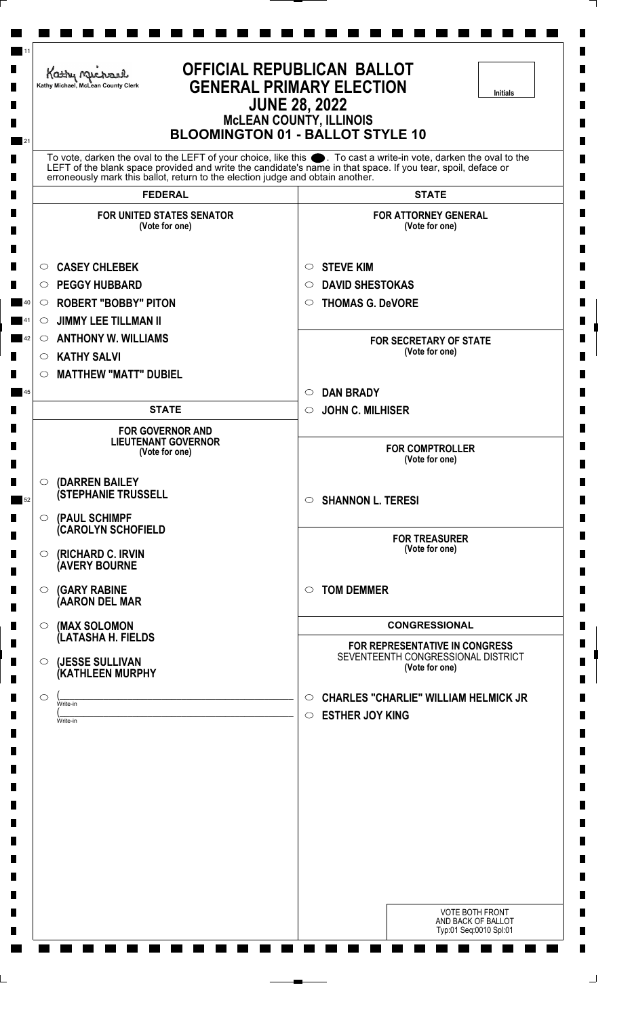| <b>OFFICIAL REPUBLICAN BALLOT</b><br>Kathy Michael<br><b>GENERAL PRIMARY ELECTION</b><br>Kathy Michael, McLean County Clerk<br><b>Initials</b><br><b>JUNE 28, 2022</b><br><b>MCLEAN COUNTY, ILLINOIS</b><br><b>BLOOMINGTON 01 - BALLOT STYLE 10</b> |                                                                                                                                                                                                |                                                                                                                   |
|-----------------------------------------------------------------------------------------------------------------------------------------------------------------------------------------------------------------------------------------------------|------------------------------------------------------------------------------------------------------------------------------------------------------------------------------------------------|-------------------------------------------------------------------------------------------------------------------|
|                                                                                                                                                                                                                                                     | LEFT of the blank space provided and write the candidate's name in that space. If you tear, spoil, deface or<br>erroneously mark this ballot, return to the election judge and obtain another. | To vote, darken the oval to the LEFT of your choice, like this ●. To cast a write-in vote, darken the oval to the |
|                                                                                                                                                                                                                                                     | <b>FEDERAL</b>                                                                                                                                                                                 | <b>STATE</b>                                                                                                      |
|                                                                                                                                                                                                                                                     | <b>FOR UNITED STATES SENATOR</b><br>(Vote for one)                                                                                                                                             | <b>FOR ATTORNEY GENERAL</b><br>(Vote for one)                                                                     |
| $\circ$                                                                                                                                                                                                                                             | <b>CASEY CHLEBEK</b>                                                                                                                                                                           | <b>STEVE KIM</b><br>O                                                                                             |
| O                                                                                                                                                                                                                                                   | <b>PEGGY HUBBARD</b>                                                                                                                                                                           | <b>DAVID SHESTOKAS</b><br>$\circ$                                                                                 |
| $\circ$                                                                                                                                                                                                                                             | <b>ROBERT "BOBBY" PITON</b>                                                                                                                                                                    | <b>THOMAS G. DeVORE</b><br>$\circ$                                                                                |
| $\circ$                                                                                                                                                                                                                                             | <b>JIMMY LEE TILLMAN II</b>                                                                                                                                                                    |                                                                                                                   |
| $\circ$                                                                                                                                                                                                                                             | <b>ANTHONY W. WILLIAMS</b>                                                                                                                                                                     | <b>FOR SECRETARY OF STATE</b><br>(Vote for one)                                                                   |
| $\circ$                                                                                                                                                                                                                                             | <b>KATHY SALVI</b>                                                                                                                                                                             |                                                                                                                   |
| $\circ$                                                                                                                                                                                                                                             | <b>MATTHEW "MATT" DUBIEL</b>                                                                                                                                                                   |                                                                                                                   |
|                                                                                                                                                                                                                                                     | <b>STATE</b>                                                                                                                                                                                   | <b>DAN BRADY</b><br>$\circ$<br><b>JOHN C. MILHISER</b><br>$\circ$                                                 |
|                                                                                                                                                                                                                                                     |                                                                                                                                                                                                |                                                                                                                   |
|                                                                                                                                                                                                                                                     | <b>FOR GOVERNOR AND</b><br><b>LIEUTENANT GOVERNOR</b><br>(Vote for one)                                                                                                                        | <b>FOR COMPTROLLER</b><br>(Vote for one)                                                                          |
| $\circ$                                                                                                                                                                                                                                             | (DARREN BAILEY                                                                                                                                                                                 |                                                                                                                   |
|                                                                                                                                                                                                                                                     | <b>(STEPHANIE TRUSSELL</b>                                                                                                                                                                     | <b>SHANNON L. TERESI</b><br>$\circ$                                                                               |
| $\circ$                                                                                                                                                                                                                                             | (PAUL SCHIMPF<br><b>CAROLYN SCHOFIELD</b>                                                                                                                                                      |                                                                                                                   |
| $\circ$                                                                                                                                                                                                                                             | (RICHARD C. IRVIN<br><b>(AVERY BOURNE</b>                                                                                                                                                      | <b>FOR TREASURER</b><br>(Vote for one)                                                                            |
| $\circ$                                                                                                                                                                                                                                             | <b>(GARY RABINE</b><br>(AARON DEL MAR                                                                                                                                                          | <b>TOM DEMMER</b><br>$\circ$                                                                                      |
|                                                                                                                                                                                                                                                     |                                                                                                                                                                                                |                                                                                                                   |
| $\circ$                                                                                                                                                                                                                                             | (MAX SOLOMON<br>(LATASHA H. FIELDS                                                                                                                                                             | <b>CONGRESSIONAL</b>                                                                                              |
| $\circ$                                                                                                                                                                                                                                             | (JESSE SULLIVAN<br>(KATHLEEN MURPHY                                                                                                                                                            | FOR REPRESENTATIVE IN CONGRESS<br>SEVENTEENTH CONGRESSIONAL DISTRICT<br>(Vote for one)                            |
| $\circ$                                                                                                                                                                                                                                             |                                                                                                                                                                                                | <b>CHARLES "CHARLIE" WILLIAM HELMICK JR</b><br>$\circ$                                                            |
|                                                                                                                                                                                                                                                     | Write-in<br>Write-in                                                                                                                                                                           | <b>ESTHER JOY KING</b><br>$\circ$                                                                                 |
|                                                                                                                                                                                                                                                     |                                                                                                                                                                                                |                                                                                                                   |
|                                                                                                                                                                                                                                                     |                                                                                                                                                                                                | <b>VOTE BOTH FRONT</b><br>AND BACK OF BALLOT<br>Typ:01 Seq:0010 Spl:01                                            |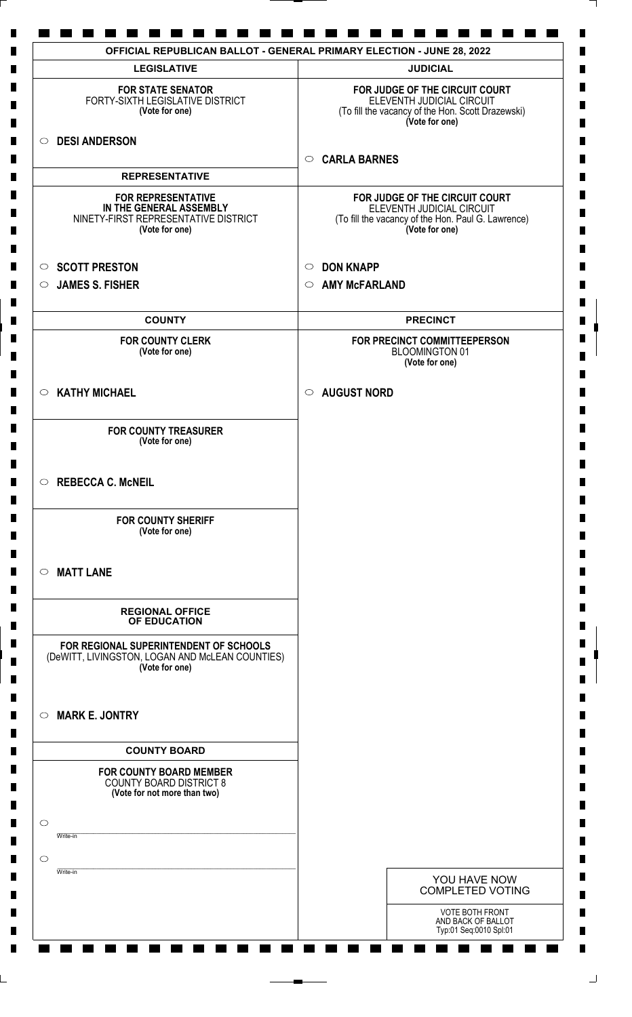| <b>LEGISLATIVE</b>                                                                                             | <b>JUDICIAL</b>                                                                                                                     |
|----------------------------------------------------------------------------------------------------------------|-------------------------------------------------------------------------------------------------------------------------------------|
| <b>FOR STATE SENATOR</b><br>FORTY-SIXTH LEGISLATIVE DISTRICT<br>(Vote for one)                                 | FOR JUDGE OF THE CIRCUIT COURT<br>ELEVENTH JUDICIAL CIRCUIT<br>(To fill the vacancy of the Hon. Scott Drazewski)<br>(Vote for one)  |
| O DESI ANDERSON                                                                                                |                                                                                                                                     |
|                                                                                                                | <b>CARLA BARNES</b><br>$\circ$                                                                                                      |
| <b>REPRESENTATIVE</b>                                                                                          |                                                                                                                                     |
| <b>FOR REPRESENTATIVE</b><br>IN THE GENERAL ASSEMBLY<br>NINETY-FIRST REPRESENTATIVE DISTRICT<br>(Vote for one) | FOR JUDGE OF THE CIRCUIT COURT<br>ELEVENTH JUDICIAL CIRCUIT<br>(To fill the vacancy of the Hon. Paul G. Lawrence)<br>(Vote for one) |
| <b>SCOTT PRESTON</b><br>$\circ$                                                                                | <b>DON KNAPP</b><br>$\circ$                                                                                                         |
| $\circ$ JAMES S. FISHER                                                                                        | <b>AMY McFARLAND</b><br>$\circ$                                                                                                     |
|                                                                                                                |                                                                                                                                     |
| <b>COUNTY</b>                                                                                                  | <b>PRECINCT</b>                                                                                                                     |
| <b>FOR COUNTY CLERK</b><br>(Vote for one)                                                                      | FOR PRECINCT COMMITTEEPERSON<br><b>BLOOMINGTON 01</b><br>(Vote for one)                                                             |
| $\circ$ KATHY MICHAEL                                                                                          | <b>AUGUST NORD</b><br>$\circ$                                                                                                       |
| <b>FOR COUNTY TREASURER</b><br>(Vote for one)                                                                  |                                                                                                                                     |
| REBECCA C. McNEIL                                                                                              |                                                                                                                                     |
| <b>FOR COUNTY SHERIFF</b><br>(Vote for one)                                                                    |                                                                                                                                     |
| $\circ$ MATT LANE                                                                                              |                                                                                                                                     |
| <b>REGIONAL OFFICE</b><br>OF EDUCATION                                                                         |                                                                                                                                     |
| FOR REGIONAL SUPERINTENDENT OF SCHOOLS<br>(DeWITT, LIVINGSTON, LOGAN AND McLEAN COUNTIES)<br>(Vote for one)    |                                                                                                                                     |
| <b>MARK E. JONTRY</b><br>$\circ$                                                                               |                                                                                                                                     |
| <b>COUNTY BOARD</b>                                                                                            |                                                                                                                                     |
| <b>FOR COUNTY BOARD MEMBER</b><br><b>COUNTY BOARD DISTRICT 8</b><br>(Vote for not more than two)               |                                                                                                                                     |
| $\circ$<br>Write-in                                                                                            |                                                                                                                                     |
| $\circ$<br>Write-in                                                                                            |                                                                                                                                     |
|                                                                                                                | YOU HAVE NOW<br><b>COMPLETED VOTING</b>                                                                                             |
|                                                                                                                | <b>VOTE BOTH FRONT</b><br>AND BACK OF BALLOT<br>Typ:01 Seq:0010 Spl:01                                                              |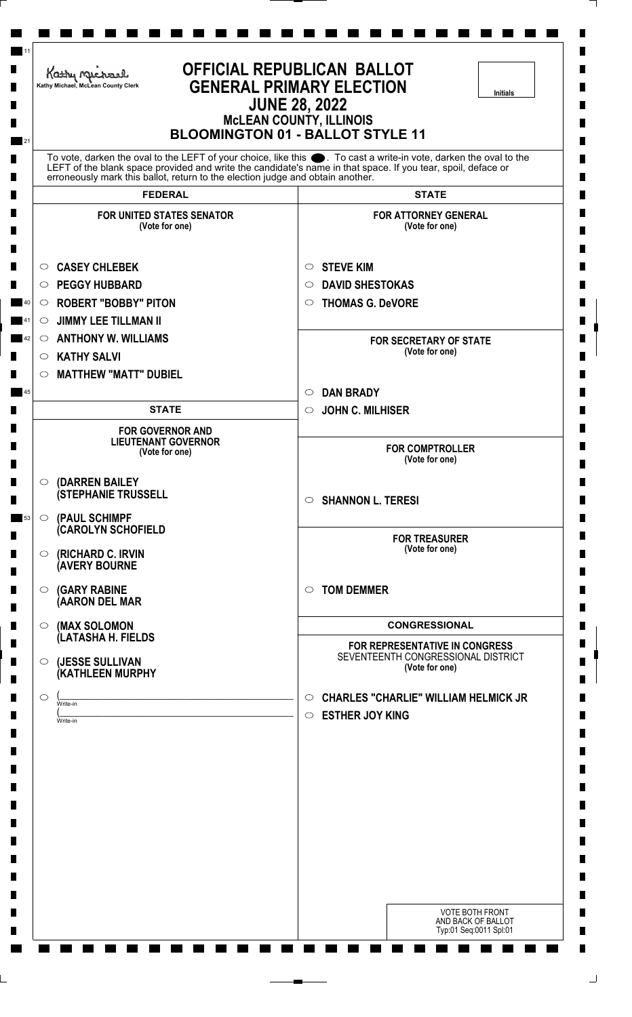|         | Kathy Michael<br>Kathy Michael, McLean County Clerk                                                                                                                                            | <b>OFFICIAL REPUBLICAN BALLOT</b><br><b>GENERAL PRIMARY ELECTION</b><br><b>Initials</b><br><b>JUNE 28, 2022</b><br><b>McLEAN COUNTY, ILLINOIS</b><br><b>BLOOMINGTON 01 - BALLOT STYLE 11</b> |
|---------|------------------------------------------------------------------------------------------------------------------------------------------------------------------------------------------------|----------------------------------------------------------------------------------------------------------------------------------------------------------------------------------------------|
|         | LEFT of the blank space provided and write the candidate's name in that space. If you tear, spoil, deface or<br>erroneously mark this ballot, return to the election judge and obtain another. | To vote, darken the oval to the LEFT of your choice, like this ●. To cast a write-in vote, darken the oval to the                                                                            |
|         | <b>FEDERAL</b>                                                                                                                                                                                 | <b>STATE</b>                                                                                                                                                                                 |
|         | <b>FOR UNITED STATES SENATOR</b><br>(Vote for one)                                                                                                                                             | <b>FOR ATTORNEY GENERAL</b><br>(Vote for one)                                                                                                                                                |
| $\circ$ | <b>CASEY CHLEBEK</b>                                                                                                                                                                           | <b>STEVE KIM</b><br>$\circ$                                                                                                                                                                  |
| $\circ$ | <b>PEGGY HUBBARD</b>                                                                                                                                                                           | <b>DAVID SHESTOKAS</b><br>$\circ$                                                                                                                                                            |
| $\circ$ | <b>ROBERT "BOBBY" PITON</b>                                                                                                                                                                    | <b>THOMAS G. DeVORE</b><br>$\circ$                                                                                                                                                           |
| $\circ$ | <b>JIMMY LEE TILLMAN II</b>                                                                                                                                                                    |                                                                                                                                                                                              |
| $\circ$ | <b>ANTHONY W. WILLIAMS</b>                                                                                                                                                                     | <b>FOR SECRETARY OF STATE</b>                                                                                                                                                                |
| $\circ$ | <b>KATHY SALVI</b>                                                                                                                                                                             | (Vote for one)                                                                                                                                                                               |
| $\circ$ | <b>MATTHEW "MATT" DUBIEL</b>                                                                                                                                                                   |                                                                                                                                                                                              |
|         |                                                                                                                                                                                                | <b>DAN BRADY</b><br>$\circ$                                                                                                                                                                  |
|         | <b>STATE</b>                                                                                                                                                                                   | <b>JOHN C. MILHISER</b><br>$\circ$                                                                                                                                                           |
|         | <b>FOR GOVERNOR AND</b><br><b>LIEUTENANT GOVERNOR</b><br>(Vote for one)                                                                                                                        | <b>FOR COMPTROLLER</b><br>(Vote for one)                                                                                                                                                     |
| O       | (DARREN BAILEY                                                                                                                                                                                 |                                                                                                                                                                                              |
|         | <b>(STEPHANIE TRUSSELL</b>                                                                                                                                                                     | <b>SHANNON L. TERESI</b><br>$\circ$                                                                                                                                                          |
| $\circ$ | (PAUL SCHIMPF<br>(CAROLYN SCHOFIELD                                                                                                                                                            |                                                                                                                                                                                              |
| $\circ$ | (RICHARD C. IRVIN<br><b>(AVERY BOURNE</b>                                                                                                                                                      | <b>FOR TREASURER</b><br>(Vote for one)                                                                                                                                                       |
| $\circ$ | <b>(GARY RABINE</b><br>(AARON DEL MAR                                                                                                                                                          | <b>TOM DEMMER</b><br>$\circ$                                                                                                                                                                 |
| $\circ$ | (MAX SOLOMON<br>(LATASHA H. FIELDS                                                                                                                                                             | <b>CONGRESSIONAL</b>                                                                                                                                                                         |
| $\circ$ | (JESSE SULLIVAN<br>(KATHLEEN MURPHY                                                                                                                                                            | FOR REPRESENTATIVE IN CONGRESS<br>SEVENTEENTH CONGRESSIONAL DISTRICT<br>(Vote for one)                                                                                                       |
| $\circ$ |                                                                                                                                                                                                | <b>CHARLES "CHARLIE" WILLIAM HELMICK JR</b>                                                                                                                                                  |
|         | Write-in                                                                                                                                                                                       | $\circ$<br><b>ESTHER JOY KING</b><br>$\circ$                                                                                                                                                 |
|         | Write-in                                                                                                                                                                                       |                                                                                                                                                                                              |
|         |                                                                                                                                                                                                | <b>VOTE BOTH FRONT</b><br>AND BACK OF BALLOT<br>Typ:01 Seq:0011 Spl:01                                                                                                                       |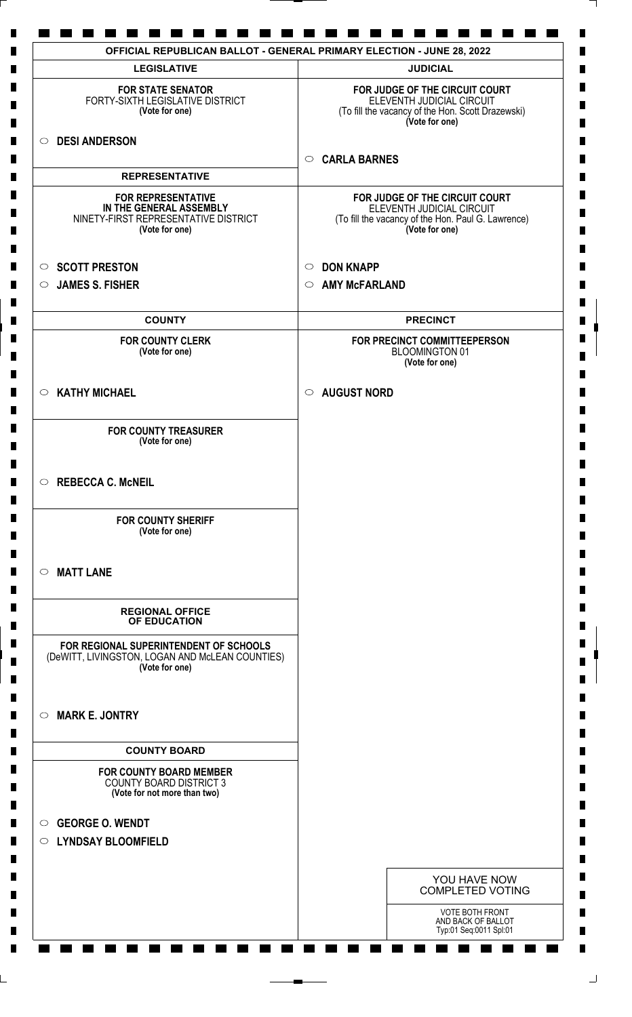| <b>LEGISLATIVE</b>                                                                                             | <b>JUDICIAL</b>                                                                                                                     |
|----------------------------------------------------------------------------------------------------------------|-------------------------------------------------------------------------------------------------------------------------------------|
| <b>FOR STATE SENATOR</b><br>FORTY-SIXTH LEGISLATIVE DISTRICT<br>(Vote for one)                                 | FOR JUDGE OF THE CIRCUIT COURT<br>ELEVENTH JUDICIAL CIRCUIT<br>(To fill the vacancy of the Hon. Scott Drazewski)<br>(Vote for one)  |
| <b>DESI ANDERSON</b><br>$\circ$                                                                                |                                                                                                                                     |
| <b>REPRESENTATIVE</b>                                                                                          | <b>CARLA BARNES</b><br>$\circ$                                                                                                      |
| <b>FOR REPRESENTATIVE</b><br>IN THE GENERAL ASSEMBLY<br>NINETY-FIRST REPRESENTATIVE DISTRICT<br>(Vote for one) | FOR JUDGE OF THE CIRCUIT COURT<br>ELEVENTH JUDICIAL CIRCUIT<br>(To fill the vacancy of the Hon. Paul G. Lawrence)<br>(Vote for one) |
| <b>SCOTT PRESTON</b><br>$\circ$                                                                                | <b>DON KNAPP</b><br>$\circ$                                                                                                         |
| <b>JAMES S. FISHER</b><br>$\circ$                                                                              | <b>AMY McFARLAND</b><br>$\circ$                                                                                                     |
| <b>COUNTY</b>                                                                                                  | <b>PRECINCT</b>                                                                                                                     |
| <b>FOR COUNTY CLERK</b><br>(Vote for one)                                                                      | FOR PRECINCT COMMITTEEPERSON<br><b>BLOOMINGTON 01</b><br>(Vote for one)                                                             |
| <b>KATHY MICHAEL</b><br>$\circ$                                                                                | <b>AUGUST NORD</b><br>$\circ$                                                                                                       |
| <b>FOR COUNTY TREASURER</b><br>(Vote for one)                                                                  |                                                                                                                                     |
| $\circ$ REBECCA C. McNEIL                                                                                      |                                                                                                                                     |
| <b>FOR COUNTY SHERIFF</b><br>(Vote for one)                                                                    |                                                                                                                                     |
| <b>MATT LANE</b><br>$\circ$                                                                                    |                                                                                                                                     |
| <b>REGIONAL OFFICE</b><br>OF EDUCATION                                                                         |                                                                                                                                     |
| FOR REGIONAL SUPERINTENDENT OF SCHOOLS<br>(DeWITT, LIVINGSTON, LOGAN AND McLEAN COUNTIES)<br>(Vote for one)    |                                                                                                                                     |
| <b>MARK E. JONTRY</b><br>$\circ$                                                                               |                                                                                                                                     |
| <b>COUNTY BOARD</b>                                                                                            |                                                                                                                                     |
| <b>FOR COUNTY BOARD MEMBER</b><br><b>COUNTY BOARD DISTRICT 3</b><br>(Vote for not more than two)               |                                                                                                                                     |
| <b>GEORGE O. WENDT</b><br>$\circ$<br><b>LYNDSAY BLOOMFIELD</b><br>$\circ$                                      |                                                                                                                                     |
|                                                                                                                |                                                                                                                                     |
|                                                                                                                | YOU HAVE NOW<br><b>COMPLETED VOTING</b>                                                                                             |
|                                                                                                                | VOTE BOTH FRONT<br>AND BACK OF BALLOT<br>Typ:01 Seq:0011 Spl:01                                                                     |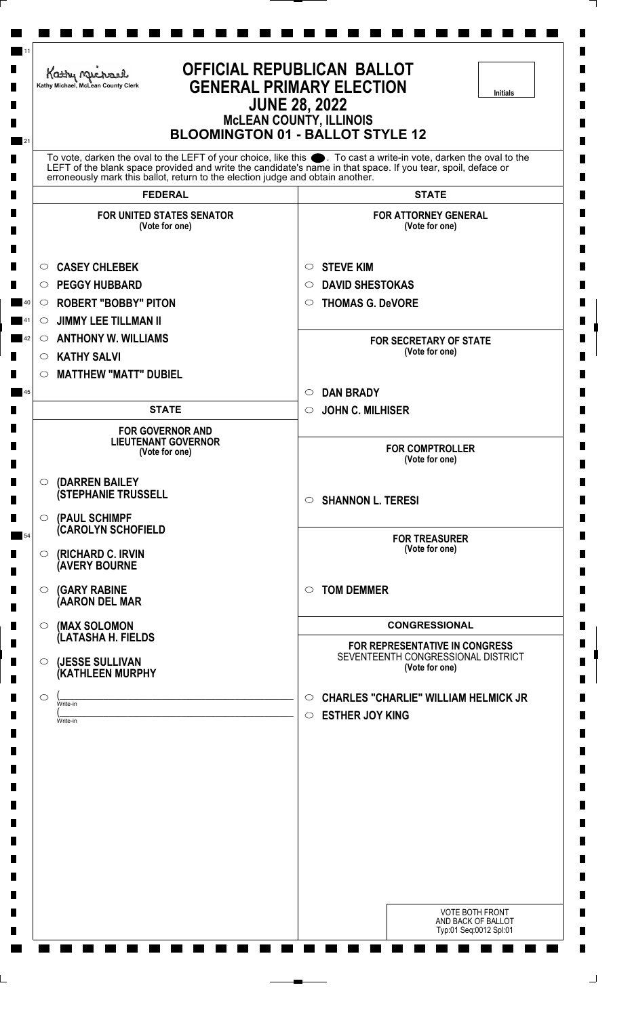|         | Kathy Michael<br>Kathy Michael, McLean County Clerk                            | <b>OFFICIAL REPUBLICAN BALLOT</b><br><b>GENERAL PRIMARY ELECTION</b><br><b>Initials</b><br><b>JUNE 28, 2022</b><br><b>McLEAN COUNTY, ILLINOIS</b><br><b>BLOOMINGTON 01 - BALLOT STYLE 12</b>                                      |
|---------|--------------------------------------------------------------------------------|-----------------------------------------------------------------------------------------------------------------------------------------------------------------------------------------------------------------------------------|
|         | erroneously mark this ballot, return to the election judge and obtain another. | To vote, darken the oval to the LEFT of your choice, like this ●. To cast a write-in vote, darken the oval to the<br>LEFT of the blank space provided and write the candidate's name in that space. If you tear, spoil, deface or |
|         | <b>FEDERAL</b>                                                                 | <b>STATE</b>                                                                                                                                                                                                                      |
|         | <b>FOR UNITED STATES SENATOR</b><br>(Vote for one)                             | <b>FOR ATTORNEY GENERAL</b><br>(Vote for one)                                                                                                                                                                                     |
| $\circ$ | <b>CASEY CHLEBEK</b>                                                           | <b>STEVE KIM</b><br>O                                                                                                                                                                                                             |
| $\circ$ | <b>PEGGY HUBBARD</b>                                                           | <b>DAVID SHESTOKAS</b><br>O                                                                                                                                                                                                       |
|         | $\circ$ ROBERT "BOBBY" PITON                                                   | <b>THOMAS G. DeVORE</b><br>$\circ$                                                                                                                                                                                                |
| $\circ$ | <b>JIMMY LEE TILLMAN II</b>                                                    |                                                                                                                                                                                                                                   |
| $\circ$ | <b>ANTHONY W. WILLIAMS</b>                                                     | <b>FOR SECRETARY OF STATE</b><br>(Vote for one)                                                                                                                                                                                   |
| $\circ$ | <b>KATHY SALVI</b>                                                             |                                                                                                                                                                                                                                   |
| $\circ$ | <b>MATTHEW "MATT" DUBIEL</b>                                                   |                                                                                                                                                                                                                                   |
|         | <b>STATE</b>                                                                   | <b>DAN BRADY</b><br>$\circ$                                                                                                                                                                                                       |
|         |                                                                                | <b>JOHN C. MILHISER</b><br>$\circ$                                                                                                                                                                                                |
|         | <b>FOR GOVERNOR AND</b><br><b>LIEUTENANT GOVERNOR</b><br>(Vote for one)        | <b>FOR COMPTROLLER</b><br>(Vote for one)                                                                                                                                                                                          |
| $\circ$ | (DARREN BAILEY                                                                 |                                                                                                                                                                                                                                   |
| O       | <b>(STEPHANIE TRUSSELL</b><br>(PAUL SCHIMPF                                    | <b>SHANNON L. TERESI</b><br>$\circ$                                                                                                                                                                                               |
|         | <b>CAROLYN SCHOFIELD</b>                                                       | <b>FOR TREASURER</b>                                                                                                                                                                                                              |
| $\circ$ | (RICHARD C. IRVIN<br>(AVERY BOURNE                                             | (Vote for one)                                                                                                                                                                                                                    |
| $\circ$ | <b>(GARY RABINE</b><br>(AARON DEL MAR                                          | <b>TOM DEMMER</b><br>$\circ$                                                                                                                                                                                                      |
| $\circ$ | (MAX SOLOMON                                                                   | <b>CONGRESSIONAL</b>                                                                                                                                                                                                              |
|         | (LATASHA H. FIELDS                                                             | FOR REPRESENTATIVE IN CONGRESS                                                                                                                                                                                                    |
| $\circ$ | (JESSE SULLIVAN<br>(KATHLEEN MURPHY                                            | SEVENTEENTH CONGRESSIONAL DISTRICT<br>(Vote for one)                                                                                                                                                                              |
| $\circ$ | Write-in                                                                       | <b>CHARLES "CHARLIE" WILLIAM HELMICK JR</b><br>$\circ$                                                                                                                                                                            |
|         | Write-in                                                                       | <b>ESTHER JOY KING</b><br>$\circ$                                                                                                                                                                                                 |
|         |                                                                                |                                                                                                                                                                                                                                   |
|         |                                                                                |                                                                                                                                                                                                                                   |
|         |                                                                                |                                                                                                                                                                                                                                   |
|         |                                                                                | <b>VOTE BOTH FRONT</b>                                                                                                                                                                                                            |
|         |                                                                                | AND BACK OF BALLOT<br>Typ:01 Seq:0012 Spl:01                                                                                                                                                                                      |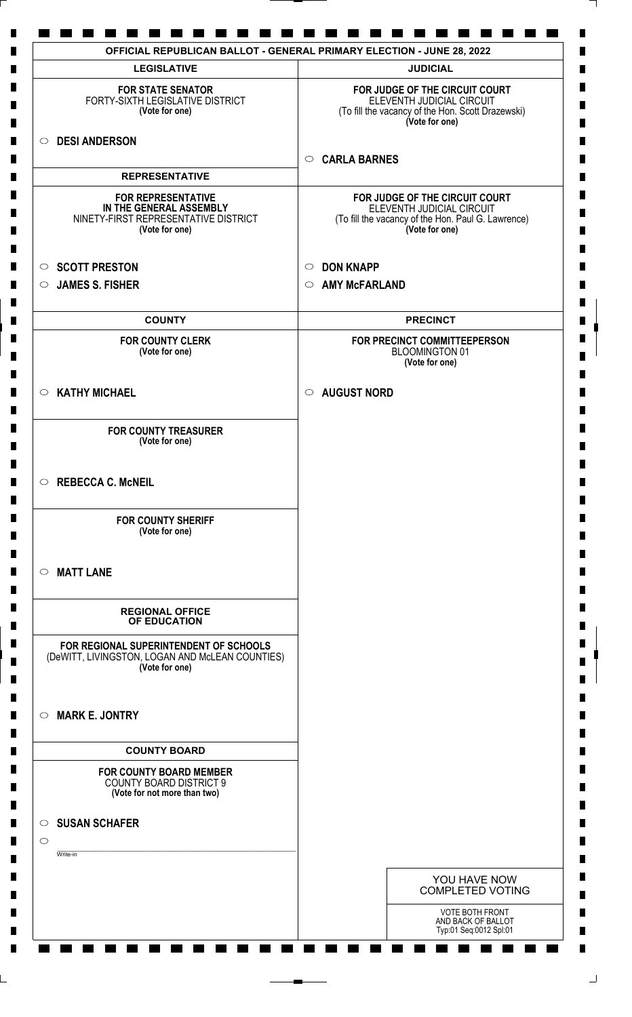| <b>LEGISLATIVE</b>                                                                                             | <b>JUDICIAL</b>                                                                                                                     |
|----------------------------------------------------------------------------------------------------------------|-------------------------------------------------------------------------------------------------------------------------------------|
| <b>FOR STATE SENATOR</b><br>FORTY-SIXTH LEGISLATIVE DISTRICT<br>(Vote for one)                                 | FOR JUDGE OF THE CIRCUIT COURT<br>ELEVENTH JUDICIAL CIRCUIT<br>(To fill the vacancy of the Hon. Scott Drazewski)<br>(Vote for one)  |
| <b>DESI ANDERSON</b><br>$\circ$                                                                                | <b>CARLA BARNES</b><br>$\circ$                                                                                                      |
| <b>REPRESENTATIVE</b>                                                                                          |                                                                                                                                     |
| <b>FOR REPRESENTATIVE</b><br>IN THE GENERAL ASSEMBLY<br>NINETY-FIRST REPRESENTATIVE DISTRICT<br>(Vote for one) | FOR JUDGE OF THE CIRCUIT COURT<br>ELEVENTH JUDICIAL CIRCUIT<br>(To fill the vacancy of the Hon. Paul G. Lawrence)<br>(Vote for one) |
| <b>SCOTT PRESTON</b><br>$\circ$                                                                                | <b>DON KNAPP</b><br>$\circ$                                                                                                         |
| <b>JAMES S. FISHER</b><br>$\circ$                                                                              | <b>AMY McFARLAND</b><br>$\circ$                                                                                                     |
| <b>COUNTY</b>                                                                                                  | <b>PRECINCT</b>                                                                                                                     |
| <b>FOR COUNTY CLERK</b><br>(Vote for one)                                                                      | FOR PRECINCT COMMITTEEPERSON<br><b>BLOOMINGTON 01</b><br>(Vote for one)                                                             |
| $\circ$ KATHY MICHAEL                                                                                          | <b>AUGUST NORD</b><br>$\circ$                                                                                                       |
| <b>FOR COUNTY TREASURER</b><br>(Vote for one)                                                                  |                                                                                                                                     |
| $\circ$ REBECCA C. McNEIL                                                                                      |                                                                                                                                     |
| <b>FOR COUNTY SHERIFF</b><br>(Vote for one)                                                                    |                                                                                                                                     |
| <b>MATT LANE</b><br>$\circ$                                                                                    |                                                                                                                                     |
| <b>REGIONAL OFFICE</b><br>OF EDUCATION                                                                         |                                                                                                                                     |
| FOR REGIONAL SUPERINTENDENT OF SCHOOLS<br>(DeWITT, LIVINGSTON, LOGAN AND McLEAN COUNTIES)<br>(Vote for one)    |                                                                                                                                     |
| <b>MARK E. JONTRY</b><br>$\circ$                                                                               |                                                                                                                                     |
| <b>COUNTY BOARD</b>                                                                                            |                                                                                                                                     |
| <b>FOR COUNTY BOARD MEMBER</b><br><b>COUNTY BOARD DISTRICT 9</b><br>(Vote for not more than two)               |                                                                                                                                     |
| $\circ$ SUSAN SCHAFER<br>$\circ$                                                                               |                                                                                                                                     |
| Write-in                                                                                                       |                                                                                                                                     |
|                                                                                                                | YOU HAVE NOW<br><b>COMPLETED VOTING</b>                                                                                             |
|                                                                                                                | <b>VOTE BOTH FRONT</b><br>AND BACK OF BALLOT<br>Typ:01 Seq:0012 Spl:01                                                              |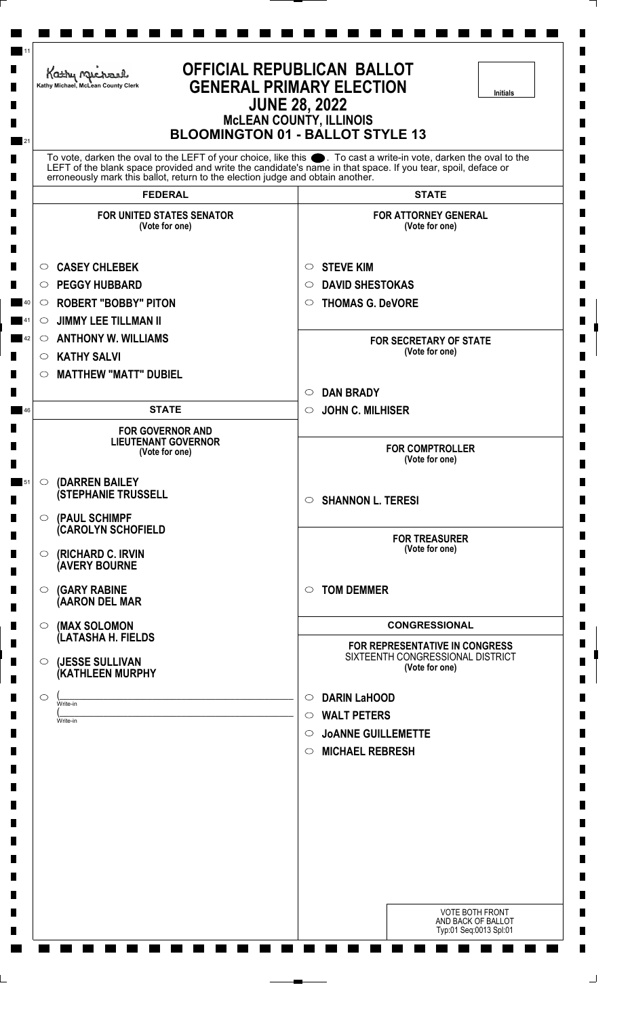| <b>OFFICIAL REPUBLICAN BALLOT</b><br>Kathy Michael<br><b>GENERAL PRIMARY ELECTION</b><br>Kathy Michael, McLean County Clerk<br><b>Initials</b><br><b>JUNE 28, 2022</b><br><b>MCLEAN COUNTY, ILLINOIS</b><br><b>BLOOMINGTON 01 - BALLOT STYLE 13</b> |                                                                                                                                                                                                                                  |  |
|-----------------------------------------------------------------------------------------------------------------------------------------------------------------------------------------------------------------------------------------------------|----------------------------------------------------------------------------------------------------------------------------------------------------------------------------------------------------------------------------------|--|
| erroneously mark this ballot, return to the election judge and obtain another.                                                                                                                                                                      | To vote, darken the oval to the LEFT of your choice, like this . To cast a write-in vote, darken the oval to the<br>LEFT of the blank space provided and write the candidate's name in that space. If you tear, spoil, deface or |  |
| <b>FEDERAL</b>                                                                                                                                                                                                                                      | <b>STATE</b>                                                                                                                                                                                                                     |  |
| <b>FOR UNITED STATES SENATOR</b><br>(Vote for one)                                                                                                                                                                                                  | <b>FOR ATTORNEY GENERAL</b><br>(Vote for one)                                                                                                                                                                                    |  |
| <b>CASEY CHLEBEK</b><br>$\circ$                                                                                                                                                                                                                     | <b>STEVE KIM</b><br>$\circ$                                                                                                                                                                                                      |  |
| <b>PEGGY HUBBARD</b><br>O                                                                                                                                                                                                                           | <b>DAVID SHESTOKAS</b><br>O                                                                                                                                                                                                      |  |
| <b>ROBERT "BOBBY" PITON</b><br>$\circ$                                                                                                                                                                                                              | <b>THOMAS G. DeVORE</b><br>$\circ$                                                                                                                                                                                               |  |
| <b>JIMMY LEE TILLMAN II</b><br>$\circ$                                                                                                                                                                                                              |                                                                                                                                                                                                                                  |  |
| $\circ$ ANTHONY W. WILLIAMS                                                                                                                                                                                                                         | <b>FOR SECRETARY OF STATE</b>                                                                                                                                                                                                    |  |
| <b>KATHY SALVI</b><br>$\circ$                                                                                                                                                                                                                       | (Vote for one)                                                                                                                                                                                                                   |  |
| <b>MATTHEW "MATT" DUBIEL</b><br>$\circ$                                                                                                                                                                                                             |                                                                                                                                                                                                                                  |  |
|                                                                                                                                                                                                                                                     | <b>DAN BRADY</b><br>$\circ$                                                                                                                                                                                                      |  |
| <b>STATE</b>                                                                                                                                                                                                                                        | <b>JOHN C. MILHISER</b><br>$\circ$                                                                                                                                                                                               |  |
| <b>FOR GOVERNOR AND</b><br><b>LIEUTENANT GOVERNOR</b>                                                                                                                                                                                               |                                                                                                                                                                                                                                  |  |
| (Vote for one)                                                                                                                                                                                                                                      | <b>FOR COMPTROLLER</b><br>(Vote for one)                                                                                                                                                                                         |  |
| $\circ$                                                                                                                                                                                                                                             |                                                                                                                                                                                                                                  |  |
| (DARREN BAILEY<br><b>(STEPHANIE TRUSSELL</b>                                                                                                                                                                                                        | <b>SHANNON L. TERESI</b><br>$\circ$                                                                                                                                                                                              |  |
| (PAUL SCHIMPF<br>$\circ$                                                                                                                                                                                                                            |                                                                                                                                                                                                                                  |  |
| <b>CAROLYN SCHOFIELD</b>                                                                                                                                                                                                                            | <b>FOR TREASURER</b>                                                                                                                                                                                                             |  |
| (RICHARD C. IRVIN<br>$\circ$<br><b>(AVERY BOURNE</b>                                                                                                                                                                                                | (Vote for one)                                                                                                                                                                                                                   |  |
| <b>(GARY RABINE</b><br>$\circ$                                                                                                                                                                                                                      | <b>TOM DEMMER</b><br>$\circ$                                                                                                                                                                                                     |  |
| (AARON DEL MAR                                                                                                                                                                                                                                      |                                                                                                                                                                                                                                  |  |
| (MAX SOLOMON<br>$\circ$                                                                                                                                                                                                                             | <b>CONGRESSIONAL</b>                                                                                                                                                                                                             |  |
| (LATASHA H. FIELDS                                                                                                                                                                                                                                  | FOR REPRESENTATIVE IN CONGRESS                                                                                                                                                                                                   |  |
| (JESSE SULLIVAN<br>$\circ$<br>(KATHLEEN MURPHY                                                                                                                                                                                                      | SIXTEENTH CONGRESSIONAL DISTRICT<br>(Vote for one)                                                                                                                                                                               |  |
| $\circ$<br>Write-in                                                                                                                                                                                                                                 | <b>DARIN LaHOOD</b><br>$\circ$                                                                                                                                                                                                   |  |
| Write-in                                                                                                                                                                                                                                            | <b>WALT PETERS</b><br>$\circ$                                                                                                                                                                                                    |  |
|                                                                                                                                                                                                                                                     | <b>JOANNE GUILLEMETTE</b><br>$\circ$                                                                                                                                                                                             |  |
|                                                                                                                                                                                                                                                     | <b>MICHAEL REBRESH</b><br>$\circ$                                                                                                                                                                                                |  |
|                                                                                                                                                                                                                                                     |                                                                                                                                                                                                                                  |  |
|                                                                                                                                                                                                                                                     |                                                                                                                                                                                                                                  |  |
|                                                                                                                                                                                                                                                     |                                                                                                                                                                                                                                  |  |
|                                                                                                                                                                                                                                                     |                                                                                                                                                                                                                                  |  |
|                                                                                                                                                                                                                                                     |                                                                                                                                                                                                                                  |  |
|                                                                                                                                                                                                                                                     |                                                                                                                                                                                                                                  |  |
|                                                                                                                                                                                                                                                     | <b>VOTE BOTH FRONT</b>                                                                                                                                                                                                           |  |
|                                                                                                                                                                                                                                                     | AND BACK OF BALLOT<br>Typ:01 Seq:0013 Spl:01                                                                                                                                                                                     |  |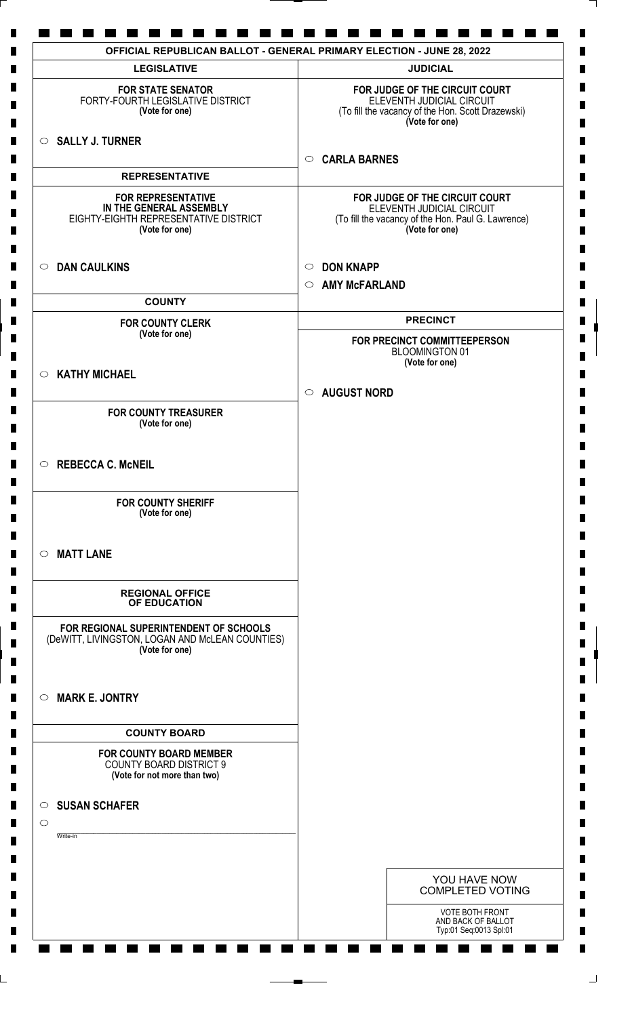| <b>LEGISLATIVE</b>                                                                                              | <b>JUDICIAL</b>                                                                                                                     |
|-----------------------------------------------------------------------------------------------------------------|-------------------------------------------------------------------------------------------------------------------------------------|
| <b>FOR STATE SENATOR</b><br>FORTY-FOURTH LEGISLATIVE DISTRICT<br>(Vote for one)                                 | FOR JUDGE OF THE CIRCUIT COURT<br>ELEVENTH JUDICIAL CIRCUIT<br>(To fill the vacancy of the Hon. Scott Drazewski)<br>(Vote for one)  |
| $\circ$ SALLY J. TURNER                                                                                         | <b>CARLA BARNES</b><br>$\circ$                                                                                                      |
| <b>REPRESENTATIVE</b>                                                                                           |                                                                                                                                     |
| <b>FOR REPRESENTATIVE</b><br>IN THE GENERAL ASSEMBLY<br>EIGHTY-EIGHTH REPRESENTATIVE DISTRICT<br>(Vote for one) | FOR JUDGE OF THE CIRCUIT COURT<br>ELEVENTH JUDICIAL CIRCUIT<br>(To fill the vacancy of the Hon. Paul G. Lawrence)<br>(Vote for one) |
| $\circ$ DAN CAULKINS                                                                                            | <b>DON KNAPP</b><br>$\circ$                                                                                                         |
| <b>COUNTY</b>                                                                                                   | <b>AMY McFARLAND</b><br>$\circ$                                                                                                     |
| <b>FOR COUNTY CLERK</b>                                                                                         | <b>PRECINCT</b>                                                                                                                     |
| (Vote for one)                                                                                                  | FOR PRECINCT COMMITTEEPERSON<br><b>BLOOMINGTON 01</b>                                                                               |
| $\circ$ KATHY MICHAEL                                                                                           | (Vote for one)                                                                                                                      |
|                                                                                                                 | <b>AUGUST NORD</b><br>$\circ$                                                                                                       |
| <b>FOR COUNTY TREASURER</b><br>(Vote for one)                                                                   |                                                                                                                                     |
| $\circ$ REBECCA C. McNEIL                                                                                       |                                                                                                                                     |
| <b>FOR COUNTY SHERIFF</b><br>(Vote for one)                                                                     |                                                                                                                                     |
| <b>MATT LANE</b><br>$\circ$                                                                                     |                                                                                                                                     |
| <b>REGIONAL OFFICE</b><br>OF EDUCATION                                                                          |                                                                                                                                     |
| FOR REGIONAL SUPERINTENDENT OF SCHOOLS<br>(DeWITT, LIVINGSTON, LOGAN AND McLEAN COUNTIES)<br>(Vote for one)     |                                                                                                                                     |
| <b>MARK E. JONTRY</b><br>$\circ$                                                                                |                                                                                                                                     |
| <b>COUNTY BOARD</b>                                                                                             |                                                                                                                                     |
| <b>FOR COUNTY BOARD MEMBER</b><br><b>COUNTY BOARD DISTRICT 9</b><br>(Vote for not more than two)                |                                                                                                                                     |
| <b>SUSAN SCHAFER</b><br>$\circ$                                                                                 |                                                                                                                                     |
| $\circ$<br>Write-in                                                                                             |                                                                                                                                     |
|                                                                                                                 | YOU HAVE NOW<br><b>COMPLETED VOTING</b>                                                                                             |
|                                                                                                                 | <b>VOTE BOTH FRONT</b><br>AND BACK OF BALLOT<br>Typ:01 Seq:0013 Spl:01                                                              |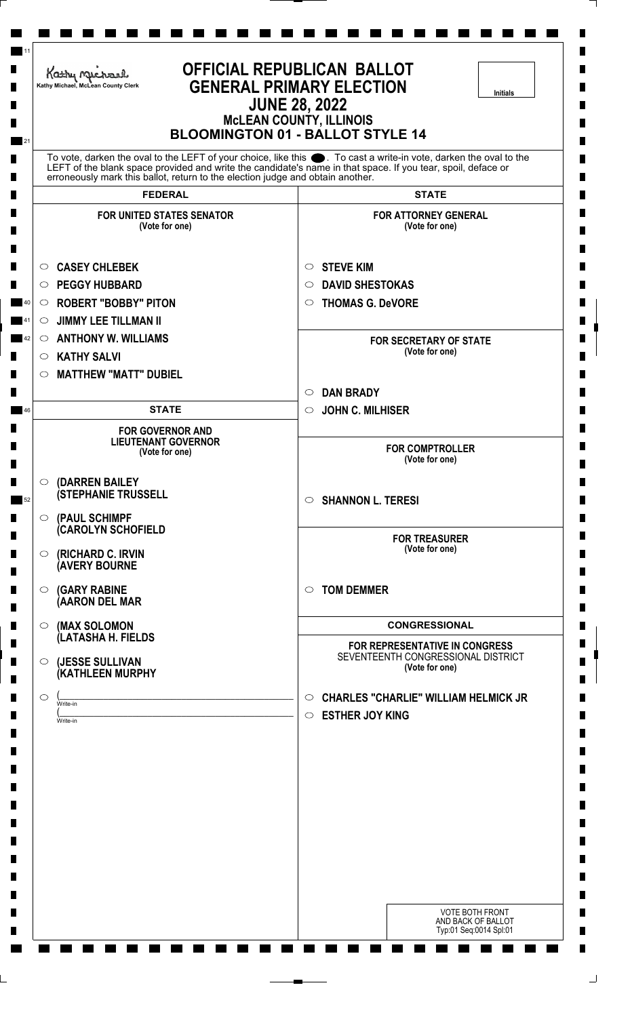| <b>OFFICIAL REPUBLICAN BALLOT</b><br>Kathy Michael<br><b>GENERAL PRIMARY ELECTION</b><br>Kathy Michael, McLean County Clerk<br><b>Initials</b><br><b>JUNE 28, 2022</b><br><b>MCLEAN COUNTY, ILLINOIS</b><br><b>BLOOMINGTON 01 - BALLOT STYLE 14</b> |                                                                                |                                                                                                                                                                                                                                   |
|-----------------------------------------------------------------------------------------------------------------------------------------------------------------------------------------------------------------------------------------------------|--------------------------------------------------------------------------------|-----------------------------------------------------------------------------------------------------------------------------------------------------------------------------------------------------------------------------------|
|                                                                                                                                                                                                                                                     | erroneously mark this ballot, return to the election judge and obtain another. | To vote, darken the oval to the LEFT of your choice, like this ●. To cast a write-in vote, darken the oval to the<br>LEFT of the blank space provided and write the candidate's name in that space. If you tear, spoil, deface or |
|                                                                                                                                                                                                                                                     | <b>FEDERAL</b>                                                                 | <b>STATE</b>                                                                                                                                                                                                                      |
|                                                                                                                                                                                                                                                     | <b>FOR UNITED STATES SENATOR</b><br>(Vote for one)                             | <b>FOR ATTORNEY GENERAL</b><br>(Vote for one)                                                                                                                                                                                     |
| $\circ$                                                                                                                                                                                                                                             | <b>CASEY CHLEBEK</b>                                                           | <b>STEVE KIM</b><br>$\circ$                                                                                                                                                                                                       |
| $\circ$                                                                                                                                                                                                                                             | <b>PEGGY HUBBARD</b>                                                           | <b>DAVID SHESTOKAS</b><br>$\circ$                                                                                                                                                                                                 |
| $\circ$                                                                                                                                                                                                                                             | <b>ROBERT "BOBBY" PITON</b>                                                    | <b>THOMAS G. DeVORE</b><br>$\circ$                                                                                                                                                                                                |
| $\circ$                                                                                                                                                                                                                                             | <b>JIMMY LEE TILLMAN II</b>                                                    |                                                                                                                                                                                                                                   |
| $\circ$                                                                                                                                                                                                                                             | <b>ANTHONY W. WILLIAMS</b>                                                     | <b>FOR SECRETARY OF STATE</b><br>(Vote for one)                                                                                                                                                                                   |
| $\circ$                                                                                                                                                                                                                                             | <b>KATHY SALVI</b>                                                             |                                                                                                                                                                                                                                   |
| $\circ$                                                                                                                                                                                                                                             | <b>MATTHEW "MATT" DUBIEL</b>                                                   | <b>DAN BRADY</b>                                                                                                                                                                                                                  |
|                                                                                                                                                                                                                                                     | <b>STATE</b>                                                                   | $\circ$<br><b>JOHN C. MILHISER</b><br>$\circ$                                                                                                                                                                                     |
|                                                                                                                                                                                                                                                     | <b>FOR GOVERNOR AND</b>                                                        |                                                                                                                                                                                                                                   |
|                                                                                                                                                                                                                                                     | <b>LIEUTENANT GOVERNOR</b><br>(Vote for one)                                   | <b>FOR COMPTROLLER</b><br>(Vote for one)                                                                                                                                                                                          |
| $\circ$                                                                                                                                                                                                                                             | (DARREN BAILEY                                                                 |                                                                                                                                                                                                                                   |
| $\circ$                                                                                                                                                                                                                                             | <b>(STEPHANIE TRUSSELL</b><br>(PAUL SCHIMPF                                    | <b>SHANNON L. TERESI</b><br>$\circ$                                                                                                                                                                                               |
|                                                                                                                                                                                                                                                     | <b>(CAROLYN SCHOFIELD</b>                                                      | <b>FOR TREASURER</b>                                                                                                                                                                                                              |
| $\circ$                                                                                                                                                                                                                                             | (RICHARD C. IRVIN<br><b>(AVERY BOURNE</b>                                      | (Vote for one)                                                                                                                                                                                                                    |
| $\circ$                                                                                                                                                                                                                                             | <b>(GARY RABINE</b><br>(AARON DEL MAR                                          | <b>TOM DEMMER</b><br>$\circ$                                                                                                                                                                                                      |
| $\circ$                                                                                                                                                                                                                                             | (MAX SOLOMON                                                                   | <b>CONGRESSIONAL</b>                                                                                                                                                                                                              |
|                                                                                                                                                                                                                                                     | (LATASHA H. FIELDS                                                             | FOR REPRESENTATIVE IN CONGRESS                                                                                                                                                                                                    |
| $\circ$                                                                                                                                                                                                                                             | (JESSE SULLIVAN<br>(KATHLEEN MURPHY                                            | SEVENTEENTH CONGRESSIONAL DISTRICT<br>(Vote for one)                                                                                                                                                                              |
| $\circ$                                                                                                                                                                                                                                             | Write-in                                                                       | <b>CHARLES "CHARLIE" WILLIAM HELMICK JR</b><br>$\circ$                                                                                                                                                                            |
|                                                                                                                                                                                                                                                     | Write-in                                                                       | <b>ESTHER JOY KING</b><br>$\circ$                                                                                                                                                                                                 |
|                                                                                                                                                                                                                                                     |                                                                                |                                                                                                                                                                                                                                   |
|                                                                                                                                                                                                                                                     |                                                                                |                                                                                                                                                                                                                                   |
|                                                                                                                                                                                                                                                     |                                                                                |                                                                                                                                                                                                                                   |
|                                                                                                                                                                                                                                                     |                                                                                | <b>VOTE BOTH FRONT</b>                                                                                                                                                                                                            |
|                                                                                                                                                                                                                                                     |                                                                                | AND BACK OF BALLOT<br>Typ:01 Seq:0014 Spl:01                                                                                                                                                                                      |